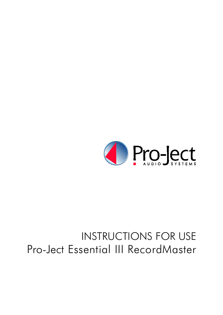

# INSTRUCTIONS FOR USE Pro-Ject Essential III RecordMaster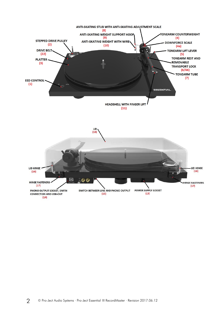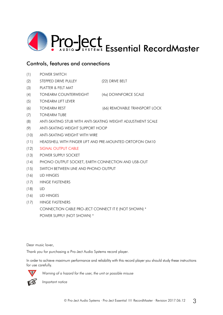

# Controls, features and connections

- (1) POWER SWITCH
- (2) STEPPED DRIVE PULLEY (22) DRIVE BELT
- (3) PLATTER & FELT MAT
- (4) TONEARM COUNTERWEIGHT (4a) DOWNFORCE SCALE
- (5) TONEARM LIFT LEVER
- (6) TONEARM REST (66) REMOVABLE TRANSPORT LOCK
- (7) TONEARM TUBE
- (8) ANTI-SKATING STUB WITH ANTI-SKATING WEIGHT ADJUSTMENT SCALE
- (9) ANTI-SKATING WEIGHT SUPPORT HOOP
- (10) ANTI-SKATING WEIGHT WITH WIRE
- (11) HEADSHELL WITH FINGER LIFT AND PRE-MOUNTED ORTOFON OM10
- (12) SIGNAL OUTPUT CABLE
- (13) POWER SUPPLY SOCKET
- (14) PHONO OUTPUT SOCKET, EARTH CONNECTION AND USB-OUT
- (15) SWITCH BETWEEN LINE AND PHONO OUTPUT
- (16) LID HINGES
- (17) HINGE FASTENERS
- (18) LID
- (16) LID HINGES
- (17) HINGE FASTENERS

CONNECTION CABLE PRO-JECT CONNECT IT E (NOT SHOWN) \* POWER SUPPLY (NOT SHOWN) \*

Dear music lover,

Thank you for purchasing a Pro-Ject Audio Systems record player.

In order to achieve maximum performance and reliability with this record player you should study these instructions for use carefully.



**!** *Warning of a hazard for the user, the unit or possible misuse*

*Important notice*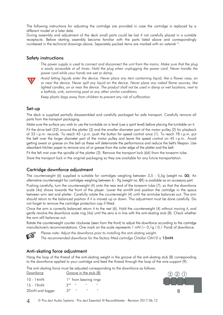The following instructions for adjusting the cartridge are provided in case the cartridge is replaced by a different model at a later date.

During assembly and adjustment of the deck small parts could be lost if not carefully placed in a suitable receptacle. Before starting assembly become familiar with the parts listed above and correspondingly numbered in the technical drawings above. Separately packed items are marked with an asterisk \*.

#### Safety instructions

*The power supply is used to connect and disconnect the unit from the mains. Make sure that the plug is easily accessible at all times. Hold the plug when unplugging the power cord. Never handle the power cord while your hands are wet or damp.*



*Avoid letting liquids enter the device. Never place any item containing liquid, like a flower vase, on or near the device. Never spill any liquid on the device. Never place any naked flame sources, like lighted candles, on or near the device. The product shall not be used in damp or wet locations, next to a bathtub, sink, swimming pool or any other similar conditions.*

*Keep plastic bags away from children to prevent any risk of suffocation.*

#### Set-up

The deck is supplied partially disassembled and carefully packaged for safe transport. Carefully remove all parts from the transport packaging.

Make sure the surface you wish to use the turntable on is level (use a spirit level) before placing the turntable on it.

Fit the drive belt (22) around the platter (3) and the smaller diameter part of the motor pulley (2) for playback of 33 r.p.m. records. To reach 45 r.p.m. push the button for speed control once (1). To reach 78 r.p.m. put the belt over the larger diameter part of the motor pulley and leave the speed control on 45 r.p.m.. Avoid getting sweat or grease on the belt as these will deteriorate the performance and reduce the belt's lifespan. Use absorbent kitchen paper to remove any oil or grease from the outer edge of the platter and the belt.

Fit the felt mat over the spindle of the platter (3). Remove the transport lock (66) from the tonearm tube.

Store the transport lock in the original packaging so they are available for any future transportation.

## Cartridge downforce adjustment

The counterweight (6) supplied is suitable for cartridges weighing between 3,5 - 5,5g (weight no. 00). An alternative counterweight for cartridges weighing between 6 - 9g (weight no. 01) is available as an accessory part.

Pushing carefully, turn the counterweight (4) onto the rear end of the tonearm tube (7), so that the downforce scale (4a) shows towards the front of the player. Lower the armlift and position the cartridge in the space between arm rest and platter. Carefully rotate the counterweight (4) until the armtube balances out. The arm should return to the balanced position if it is moved up or down. This adjustment must be done carefully. Do not forget to remove the cartridge protection cap if fitted.

Once the arm is correctly balanced return it to the rest (6). Hold the counterweight (4) without moving it, and gently revolve the downforce scale ring (4a) until the zero is in line with the anti-skating stub (8). Check whether the arm still balances out.

Rotate the counterweight counter clockwise (seen from the front) to adjust the downforce according to the cartridge manufacturer's recommendations. One mark on the scale represents  $1 \text{ mM} (= 0.1q / 0.1 \text{ Pond})$  of downforce.



*Please note: Adjust the downforce prior to installing the anti-skating weight.*

*The recommended downforce for the factory fitted cartridge Ortofon OM10 is* 15mN*.*

#### Anti-skating force adjustment

Hang the loop of the thread of the anti-skating weight in the groove of the anti-skating stub (8) corresponding to the downforce applied to your cartridge and feed the thread through the loop of the wire support (9).

|           | The anti-skating force must be adjusted corresponding to the downforce as follows: |  |  |  |
|-----------|------------------------------------------------------------------------------------|--|--|--|
| Downforce | Groove in the stub (8)                                                             |  |  |  |

| 10 - 14mN       |                         | 1 <sup>st</sup> from bearing rings |  | $\sim$ $\sim$ |  |
|-----------------|-------------------------|------------------------------------|--|---------------|--|
| $15 - 19$ mN    | $2^{nd}$ $\blacksquare$ | and the first products             |  |               |  |
| 20mN and bigger | $3^{rd}$ " "            |                                    |  |               |  |

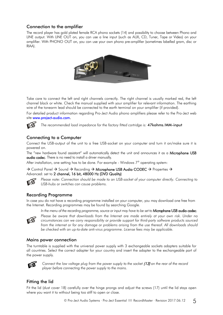## Connection to the amplifier

The record player has gold plated female RCA phono sockets (14) and possibility to choose between Phono and LINE output. With LINE OUT on, you can use a line input (such as AUX, CD, Tuner, Tape or Video) on your amplifier. With PHONO OUT on, you can use your own phono pre-amplifier (sometimes labelled gram, disc or RIAA).



Take care to connect the left and right channels correctly. The right channel is usually marked red, the left channel black or white. Check the manual supplied with your amplifier for relevant information. The earthing wire of the tonearm lead should be connected to the earth terminal on your amplifier (if provided).

For detailed product information regarding Pro-Ject Audio phono amplifiers please refer to the Pro-Ject web site [www.project-audio.com.](http://www.project-audio.com/)



*The recommended load impedance for the factory fitted cartridge is:* 47kohms/MM-input

## Connecting to a Computer

Connect the USB-output of the unit to a free USB-socket on your computer and turn it on/make sure it is powered on.

The "new hardware found assistant" will automatically detect the unit and announces it as a Microphone USB audio codec. There is no need to install a driver manually.

After installation, one setting has to be done. For example - Windows 7® operating system:

 $\rightarrow$  Control Panel  $\rightarrow$  Sound  $\rightarrow$  Recording  $\rightarrow$  Microphone USB Audio CODEC  $\rightarrow$  Properties  $\rightarrow$ Advanced: set to 2 channel, 16 bit, 48000 Hz (DVD Quality)



*Please note: Connection should be made to an USB-socket of your computer directly. Connecting to USB-hubs or switches can cause problems.*

## Recording Programme

In case you do not have a recording programme installed on your computer, you may download one free from the Internet. Recording programmes may be found by searching Google.



In the menu of the recording programme, source or input may have to be set to **Microphone USB audio codec**. *Please be aware that downloads from the Internet are made entirely at your own risk. Under no circumstances can we carry responsibility or provide support for third-party software products sourced from the internet or for any damage or problems arising from the use thereof. All downloads should be checked with an up-to-date anti-virus programme. License fees may be applicable.*

#### Mains power connection

The turntable is supplied with the universal power supply with 3 exchangeable sockets adapters suitable for all countries. Select the correct adapter for your country and insert the adapter to the exchangeable part of the power supply.



*Connect the low voltage plug from the power supply to the socket (13) on the rear of the record player before connecting the power supply to the mains*.

## Fitting the lid

Fit the lid (dust cover 18) carefully over the hinge prongs and adjust the screws (17) until the lid stays open where you want it to without being too stiff to open or close.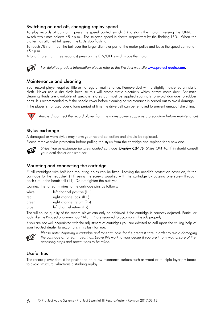## Switching on and off, changing replay speed

To play records at 33 r.p.m. press the speed control switch (1) to starts the motor. Pressing the ON/OFF switch two times selects 45 r.p.m.. The selected speed is shown respectively by the flashing LED. When the platter has attained full speed, the LEDs stop flashing.

To reach 78 r.p.m. put the belt over the larger diameter part of the motor pulley and leave the speed control on 45 r.p.m..

A long (more than three seconds) press on the ON/OFF switch stops the motor.



For detailed product information please refer to the Pro-Ject web site [www.project-audio.com.](http://www.project-audio.com/)

#### Maintenance and cleaning

Your record player requires little or no regular maintenance. Remove dust with a slightly moistened antistatic cloth. Never use a dry cloth because this will create static electricity which attract more dust! Antistatic cleaning fluids are available at specialist stores but must be applied sparingly to avoid damage to rubber parts. It is recommended to fit the needle cover before cleaning or maintenance is carried out to avoid damage. If the player is not used over a long period of time the drive belt can be removed to prevent unequal stretching.



**!** *Always disconnect the record player from the mains power supply as a precaution before maintenance!*

#### Stylus exchange

A damaged or worn stylus may harm your record collection and should be replaced.

Please remove stylus protection before pulling the stylus from the cartridge and replace for a new one.



*Stylus type in exchange for pre-mounted cartridge* Ortofon OM 10*: Stylus OM 10.* If in doubt consult your local dealer or distributor!

#### Mounting and connecting the cartridge

\*\* All cartridges with half inch mounting holes can be fitted. Leaving the needle's protection cover on, fit the cartridge to the headshell (11) using the screws supplied with the cartridge by passing one screw through each slot in the headshell (11). Do not tighten the nuts yet.

Connect the tonearm wires to the cartridge pins as follows:

| white | left channel positive $(L+)$ |
|-------|------------------------------|
| red   | right channel pos. $(R+)$    |
| green | right channel return (R -)   |
| blue  | left channel return (L -)    |

The full sound quality of the record player can only be achieved if the cartridge is correctly adjusted. Particular tools like the Pro-Ject alignment tool "Align IT" are required to accomplish this job properly.

If you are not well acquainted with the adjustment of cartridges you are advised to call upon the willing help of your Pro-Ject dealer to accomplish this task for you.



*Please note: Adjusting a cartridge and tonearm calls for the greatest care in order to avoid damaging the cartridge or tonearm bearings. Leave this work to your dealer if you are in any way unsure of the necessary steps and precautions to be taken.*

## Useful tips

The record player should be positioned on a low-resonance surface such as wood or multiple layer ply board to avoid structural vibrations disturbing replay.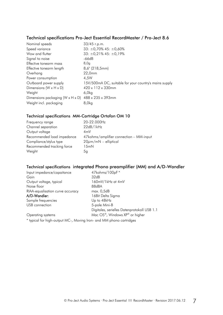# Technical specifications Pro-Ject Essential RecordMaster / Pro-Ject 8.6

| Nominal speeds                                     | 33/45 r.p.m.                                           |
|----------------------------------------------------|--------------------------------------------------------|
| Speed variance                                     | $33: \pm 0.70\%$ 45: $\pm 0.60\%$                      |
| Wow and flutter                                    | $33: \pm 0.21\% 45: \pm 0.19\%$                        |
| Signal to noise                                    | -66dB                                                  |
| Effective tonearm mass                             | 8,0 <sub>q</sub>                                       |
| Effective tonearm length                           | $8,6$ " (218,5mm)                                      |
| Overhang                                           | 22,0mm                                                 |
| Power consumption                                  | 4.5W                                                   |
| Outboard power supply                              | 15V/500mA DC, suitable for your country's mains supply |
| Dimensions ( $W \times H \times D$ )               | 420 x 112 x 330mm                                      |
| Weight                                             | 6,0kg                                                  |
| Dimensions packaging (W x H x D) 488 x 235 x 393mm |                                                        |
| Weight incl. packaging                             | 8,0kg                                                  |

#### Technical specifications MM-Cartridge Ortofon OM 10

| Frequency range            | 20-22.000Hz                             |
|----------------------------|-----------------------------------------|
| Channel separation         | 22dB/1kHz                               |
| Output voltage             | 4mV                                     |
| Recommended load impedance | 47kohms/amplifier connection - MM-input |
| Compliance/stylus type     | $20\mu m/mN$ – elliptical               |
| Recommended tracking force | 15mN                                    |
| Weight                     | Ьq                                      |

# Technical specifications integrated Phono preamplifier (MM) and A/D-Wandler

| Input impedance/capaitance       | 47kohms/100pF*                              |
|----------------------------------|---------------------------------------------|
| Gain                             | 32dB                                        |
| Output voltage, typical          | 160mV/1kHz at 4mV                           |
| Noise floor                      | 88dBA                                       |
| RIAA-equalisation curve accuracy | max. 0,5dB                                  |
| A/D-Wandler:                     | 16Bit Delta Sigma                           |
| Sample frequencies               | Up to 48kHz                                 |
| USB connection                   | 5-pole Mini-B                               |
|                                  | Digitales, serielles Datenprotokoll USB 1.1 |
| Operating systems                | Mac OS®, Windows XP® or higher              |
|                                  |                                             |

\* typical for high-output MC-, Moving Iron- and MM phono cartridges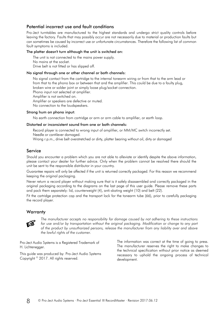#### Potential incorrect use and fault conditions

Pro-Ject turntables are manufactured to the highest standards and undergo strict quality controls before leaving the factory. Faults that may possibly occur are not necessarily due to material or production faults but can sometimes be caused by incorrect use or unfortunate circumstances. Therefore the following list of common fault symptoms is included.

#### The platter doesn't turn although the unit is switched on:

The unit is not connected to the mains power supply. No mains at the socket. Drive belt is not fitted or has slipped off.

#### No signal through one or other channel or both channels:

No signal contact from the cartridge to the internal tonearm wiring or from that to the arm lead or from that to the phono box or between that and the amplifier. This could be due to a faulty plug, broken wire or solder joint or simply loose plug/socket connection. Phono input not selected at amplifier.

Amplifier is not switched on.

Amplifier or speakers are defective or muted.

No connection to the loudspeakers.

#### Strong hum on phono input:

No earth connection from cartridge or arm or arm cable to amplifier, or earth loop.

#### Distorted or inconsistent sound from one or both channels:

Record player is connected to wrong input of amplifier, or MM/MC switch incorrectly set. Needle or cantilever damaged.

Wrong r.p.m., drive belt overstretched or dirty, platter bearing without oil, dirty or damaged

#### Service

Should you encounter a problem which you are not able to alleviate or identify despite the above information, please contact your dealer for further advice. Only when the problem cannot be resolved there should the unit be sent to the responsible distributor in your country.

Guarantee repairs will only be affected if the unit is returned correctly packaged. For this reason we recommend keeping the original packaging.

Never return a record player without making sure that is it safely disassembled and correctly packaged in the original packaging according to the diagrams on the last page of this user guide. Please remove these parts and pack them separately: lid, counterweight (4), anti-skating weight (10) and belt (22).

Fit the cartridge protection cap and the transport lock for the tonearm tube (66), prior to carefully packaging the record player.

#### **Warranty**



*The manufacturer accepts no responsibility for damage caused by not adhering to these instructions for use and/or by transportation without the original packaging. Modification or change to any part of the product by unauthorized persons, release the manufacturer from any liability over and above the lawful rights of the customer.*

Pro-Ject Audio Systems is a Registered Trademark of H. Lichtenegger.

This guide was produced by: Pro-Ject Audio Systems Copyright © 2017. All rights reserved.

The information was correct at the time of going to press. The manufacturer reserves the right to make changes to the technical specification without prior notice as deemed necessary to uphold the ongoing process of technical development.